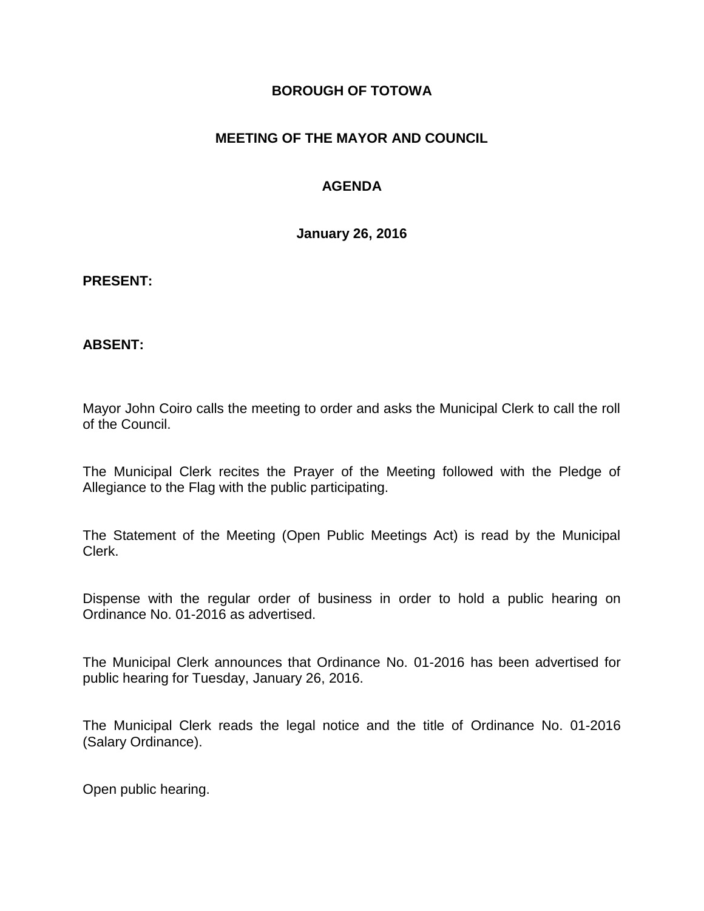### **BOROUGH OF TOTOWA**

### **MEETING OF THE MAYOR AND COUNCIL**

### **AGENDA**

**January 26, 2016**

#### **PRESENT:**

#### **ABSENT:**

Mayor John Coiro calls the meeting to order and asks the Municipal Clerk to call the roll of the Council.

The Municipal Clerk recites the Prayer of the Meeting followed with the Pledge of Allegiance to the Flag with the public participating.

The Statement of the Meeting (Open Public Meetings Act) is read by the Municipal Clerk.

Dispense with the regular order of business in order to hold a public hearing on Ordinance No. 01-2016 as advertised.

The Municipal Clerk announces that Ordinance No. 01-2016 has been advertised for public hearing for Tuesday, January 26, 2016.

The Municipal Clerk reads the legal notice and the title of Ordinance No. 01-2016 (Salary Ordinance).

Open public hearing.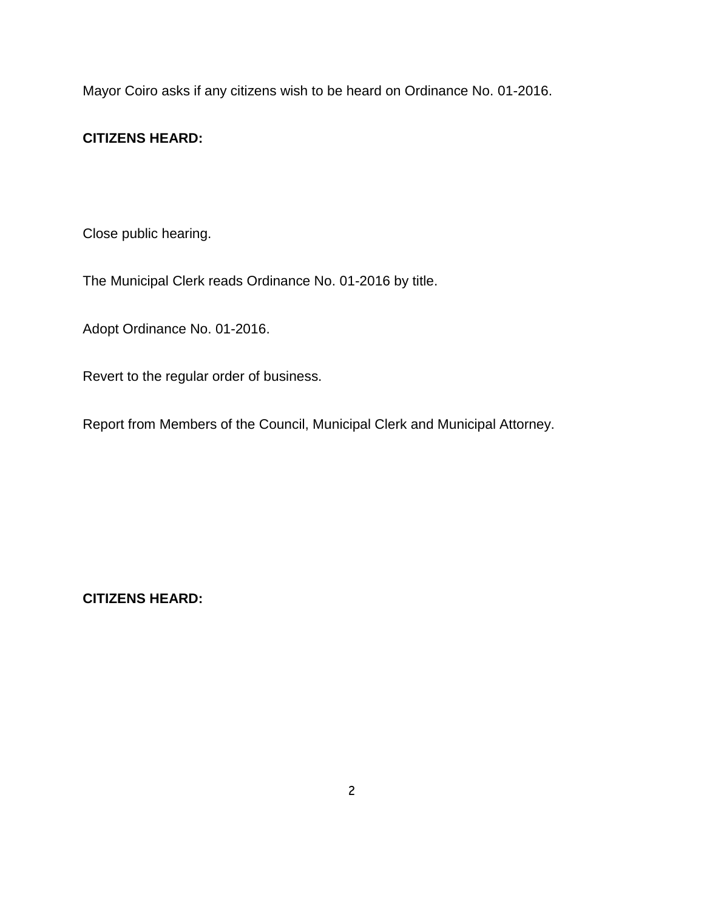Mayor Coiro asks if any citizens wish to be heard on Ordinance No. 01-2016.

### **CITIZENS HEARD:**

Close public hearing.

The Municipal Clerk reads Ordinance No. 01-2016 by title.

Adopt Ordinance No. 01-2016.

Revert to the regular order of business.

Report from Members of the Council, Municipal Clerk and Municipal Attorney.

**CITIZENS HEARD:**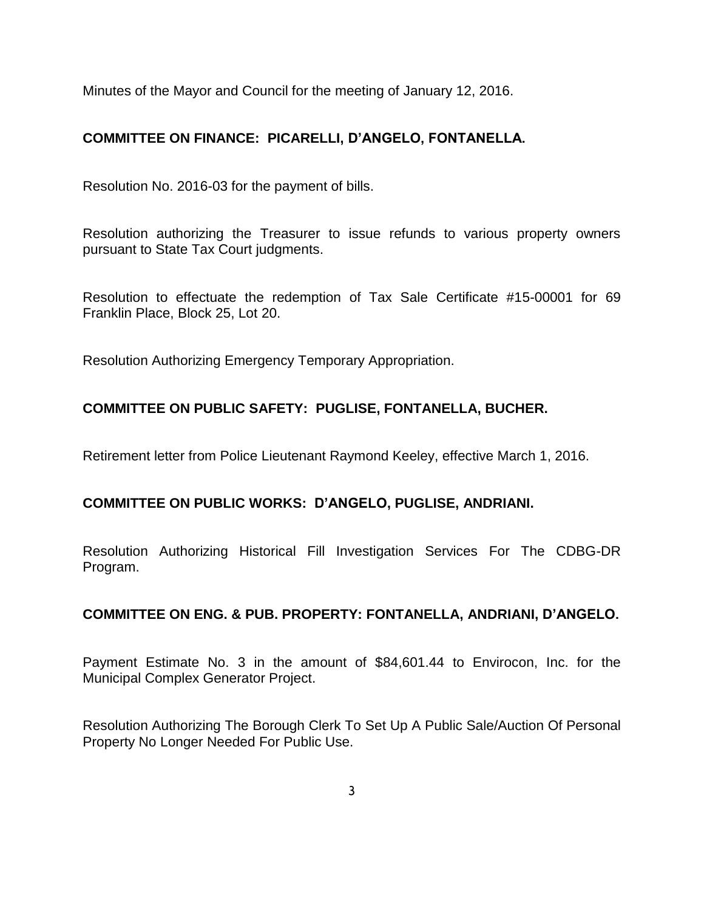Minutes of the Mayor and Council for the meeting of January 12, 2016.

# **COMMITTEE ON FINANCE: PICARELLI, D'ANGELO, FONTANELLA.**

Resolution No. 2016-03 for the payment of bills.

Resolution authorizing the Treasurer to issue refunds to various property owners pursuant to State Tax Court judgments.

Resolution to effectuate the redemption of Tax Sale Certificate #15-00001 for 69 Franklin Place, Block 25, Lot 20.

Resolution Authorizing Emergency Temporary Appropriation.

# **COMMITTEE ON PUBLIC SAFETY: PUGLISE, FONTANELLA, BUCHER.**

Retirement letter from Police Lieutenant Raymond Keeley, effective March 1, 2016.

#### **COMMITTEE ON PUBLIC WORKS: D'ANGELO, PUGLISE, ANDRIANI.**

Resolution Authorizing Historical Fill Investigation Services For The CDBG-DR Program.

#### **COMMITTEE ON ENG. & PUB. PROPERTY: FONTANELLA, ANDRIANI, D'ANGELO.**

Payment Estimate No. 3 in the amount of \$84,601.44 to Envirocon, Inc. for the Municipal Complex Generator Project.

Resolution Authorizing The Borough Clerk To Set Up A Public Sale/Auction Of Personal Property No Longer Needed For Public Use.